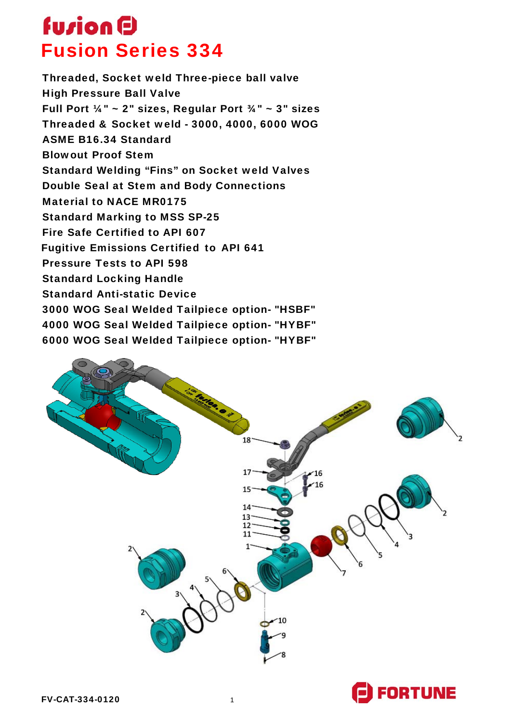### **fuzion D** Fusion Series 334

Threaded, Socket weld Three-piece ball valve High Pressure Ball Valve Full Port ¼" ~ 2" sizes, Regular Port ¾" ~ 3" sizes Threaded & Socket weld - 3000, 4000, 6000 WOG ASME B16.34 Standard Blowout Proof Stem Standard Welding "Fins" on Socket weld Valves Double Seal at Stem and Body Connections Material to NACE MR0175 Standard Marking to MSS SP-25 Fire Safe Certified to API 607 Fugitive Emissions Certified to API 641 Pressure Tests to API 598 Standard Locking Handle Standard Anti-static Device 3000 WOG Seal Welded Tailpiece option- "HSBF" 4000 WOG Seal Welded Tailpiece option- "HYBF" 6000 WOG Seal Welded Tailpiece option- "HYBF"

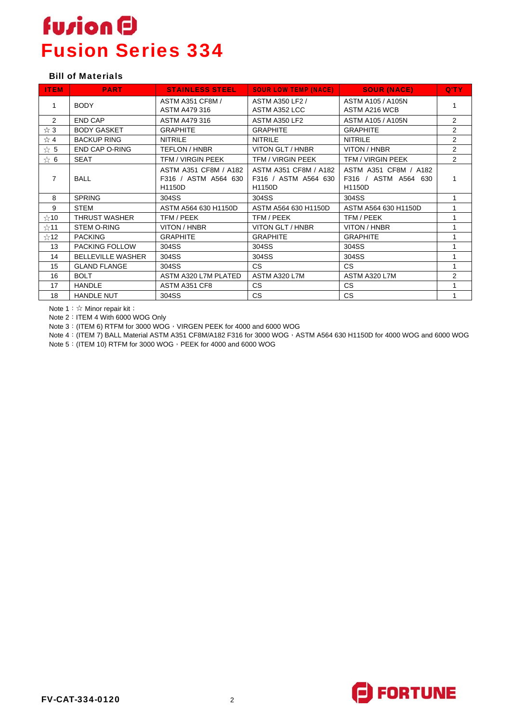### **fusion D** Fusion Series 334

#### Bill of Materials

| <b>ITEM</b>                  | <b>PART</b>              | <b>STAINLESS STEEL</b>                                         | <b>SOUR LOW TEMP (NACE)</b>                             | <b>SOUR (NACE)</b>                                      | Q'TY           |
|------------------------------|--------------------------|----------------------------------------------------------------|---------------------------------------------------------|---------------------------------------------------------|----------------|
| 1                            | <b>BODY</b>              | <b>ASTM A351 CF8M /</b><br>ASTM A479 316                       | ASTM A350 LF2 /<br>ASTM A352 LCC                        | ASTM A105 / A105N<br>ASTM A216 WCB                      | 1              |
| 2                            | <b>END CAP</b>           | ASTM A479 316                                                  | ASTM A350 LF2                                           | ASTM A105 / A105N                                       | $\overline{2}$ |
| ☆ 3                          | <b>BODY GASKET</b>       | <b>GRAPHITE</b>                                                | <b>GRAPHITE</b>                                         | <b>GRAPHITE</b>                                         | $\overline{2}$ |
| ☆ 4                          | <b>BACKUP RING</b>       | <b>NITRILE</b>                                                 | <b>NITRILE</b>                                          | <b>NITRILE</b>                                          | $\overline{2}$ |
| $\stackrel{\wedge}{\Join} 5$ | END CAP O-RING           | TEFLON / HNBR                                                  | VITON GLT / HNBR                                        | VITON / HNBR                                            | $\overline{2}$ |
| $\approx 6$                  | <b>SEAT</b>              | TFM / VIRGIN PEEK                                              | <b>TFM / VIRGIN PEEK</b>                                | TFM / VIRGIN PEEK                                       | $\overline{2}$ |
| $\overline{7}$               | <b>BALL</b>              | ASTM A351 CF8M / A182<br>F316 / ASTM A564 630<br><b>H1150D</b> | ASTM A351 CF8M / A182<br>F316 / ASTM A564 630<br>H1150D | ASTM A351 CF8M / A182<br>F316 / ASTM A564 630<br>H1150D | 1              |
| 8                            | <b>SPRING</b>            | 304SS                                                          | 304SS                                                   | 304SS                                                   | 1              |
| 9                            | <b>STEM</b>              | ASTM A564 630 H1150D                                           | ASTM A564 630 H1150D                                    | ASTM A564 630 H1150D                                    | 1              |
| $\approx$ 10                 | <b>THRUST WASHER</b>     | TFM / PEEK                                                     | TFM / PEEK                                              | TFM / PEEK                                              | 1              |
| ☆11                          | <b>STEM O-RING</b>       | VITON / HNBR                                                   | VITON GLT / HNBR                                        | VITON / HNBR                                            | 1              |
| ☆12                          | <b>PACKING</b>           | <b>GRAPHITE</b>                                                | <b>GRAPHITE</b>                                         | <b>GRAPHITE</b>                                         | 1              |
| 13                           | PACKING FOLLOW           | 304SS                                                          | 304SS                                                   | 304SS                                                   | 1              |
| 14                           | <b>BELLEVILLE WASHER</b> | 304SS                                                          | 304SS                                                   | 304SS                                                   | 1              |
| 15                           | <b>GLAND FLANGE</b>      | 304SS                                                          | CS.                                                     | CS.                                                     | 1              |
| 16                           | <b>BOLT</b>              | ASTM A320 L7M PLATED                                           | ASTM A320 L7M                                           | ASTM A320 L7M                                           | 2              |
| 17                           | <b>HANDLE</b>            | ASTM A351 CF8                                                  | CS.                                                     | <b>CS</b>                                               |                |
| 18                           | <b>HANDLE NUT</b>        | 304SS                                                          | CS.                                                     | CS.                                                     | 1              |

Note 1: ☆ Minor repair kit;

Note 2: ITEM 4 With 6000 WOG Only

Note 3: (ITEM 6) RTFM for 3000 WOG, VIRGEN PEEK for 4000 and 6000 WOG

Note 4: (ITEM 7) BALL Material ASTM A351 CF8M/A182 F316 for 3000 WOG, ASTM A564 630 H1150D for 4000 WOG and 6000 WOG

Note 5: (ITEM 10) RTFM for 3000 WOG, PEEK for 4000 and 6000 WOG

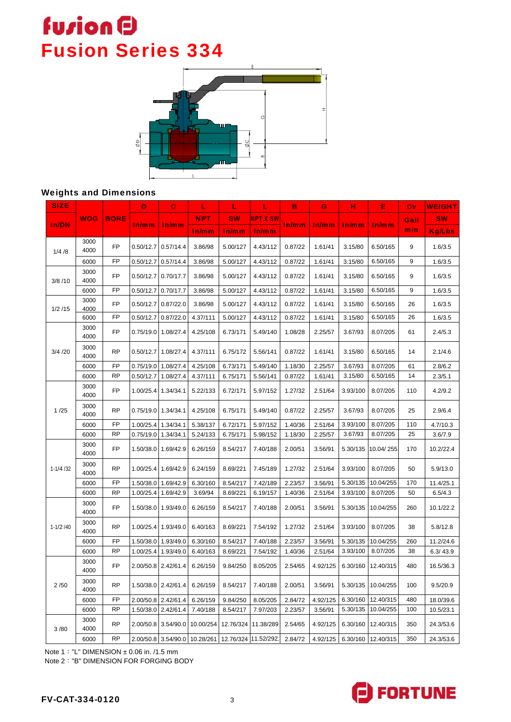## **fusion D** Fusion Series 334



#### Weights and Dimensions

| <b>SIZE</b> |              |             | D         | $\mathbf C$         | L          | L                    | L               | в       | G        | н        | Е         | Cv          | <b>WEIGHT</b> |
|-------------|--------------|-------------|-----------|---------------------|------------|----------------------|-----------------|---------|----------|----------|-----------|-------------|---------------|
| In/DN       | <b>WOG</b>   | <b>BORE</b> |           | In/mm               | <b>NPT</b> | <b>SW</b>            | <b>NPT X SW</b> | In/mm   | In/mm    | In/mm    | In/mm     | <b>Gall</b> | <b>SW</b>     |
|             |              |             | In/mm     |                     | In/mm      | In/mm                | In/mm           |         |          |          |           | min         | <b>Kg/Lbs</b> |
| 1/4/8       | 3000<br>4000 | <b>FP</b>   | 0.50/12.7 | 0.57/14.4           | 3.86/98    | 5.00/127             | 4.43/112        | 0.87/22 | 1.61/41  | 3.15/80  | 6.50/165  | 9           | 1.6/3.5       |
|             | 6000         | FP          | 0.50/12.7 | 0.57/14.4           | 3.86/98    | 5.00/127             | 4.43/112        | 0.87/22 | 1.61/41  | 3.15/80  | 6.50/165  | 9           | 1.6/3.5       |
| 3/8/10      | 3000<br>4000 | FP          | 0.50/12.7 | 0.70/17.7           | 3.86/98    | 5.00/127             | 4.43/112        | 0.87/22 | 1.61/41  | 3.15/80  | 6.50/165  | 9           | 1.6/3.5       |
|             | 6000         | FP          | 0.50/12.7 | 0.70/17.7           | 3.86/98    | 5.00/127             | 4.43/112        | 0.87/22 | 1.61/41  | 3.15/80  | 6.50/165  | 9           | 1.6/3.5       |
| 1/2/15      | 3000<br>4000 | <b>FP</b>   | 0.50/12.7 | 0.87/22.0           | 3.86/98    | 5.00/127             | 4.43/112        | 0.87/22 | 1.61/41  | 3.15/80  | 6.50/165  | 26          | 1.6/3.5       |
|             | 6000         | FP          | 0.50/12.7 | 0.87/22.0           | 4.37/111   | 5.00/127             | 4.43/112        | 0.87/22 | 1.61/41  | 3.15/80  | 6.50/165  | 26          | 1.6/3.5       |
|             | 3000<br>4000 | <b>FP</b>   | 0.75/19.0 | 1.08/27.4           | 4.25/108   | 6.73/171             | 5.49/140        | 1.08/28 | 2.25/57  | 3.67/93  | 8.07/205  | 61          | 2.4/5.3       |
| 3/4/20      | 3000<br>4000 | <b>RP</b>   |           | 0.50/12.7 1.08/27.4 | 4.37/111   | 6.75/172             | 5.56/141        | 0.87/22 | 1.61/41  | 3.15/80  | 6.50/165  | 14          | 2.1/4.6       |
|             | 6000         | FP          | 0.75/19.0 | 1.08/27.4           | 4.25/108   | 6.73/171             | 5.49/140        | 1.18/30 | 2.25/57  | 3.67/93  | 8.07/205  | 61          | 2.8/6.2       |
|             | 6000         | <b>RP</b>   | 0.50/12.7 | 1.08/27.4           | 4.37/111   | 6.75/171             | 5.56/141        | 0.87/22 | 1.61/41  | 3.15/80  | 6.50/165  | 14          | 2.3/5.1       |
| 1/25        | 3000<br>4000 | <b>FP</b>   |           | 1.00/25.4 1.34/34.1 | 5.22/133   | 6.72/171             | 5.97/152        | 1.27/32 | 2.51/64  | 3.93/100 | 8.07/205  | 110         | 4.2/9.2       |
|             | 3000<br>4000 | <b>RP</b>   |           | 0.75/19.0 1.34/34.1 | 4.25/108   | 6.75/171             | 5.49/140        | 0.87/22 | 2.25/57  | 3.67/93  | 8.07/205  | 25          | 2.9/6.4       |
|             | 6000         | FP          | 1.00/25.4 | 1.34/34.1           | 5.38/137   | 6.72/171             | 5.97/152        | 1.40/36 | 2.51/64  | 3.93/100 | 8.07/205  | 110         | 4.7/10.3      |
|             | 6000         | <b>RP</b>   | 0.75/19.0 | 1.34/34.1           | 5.24/133   | 6.75/171             | 5.98/152        | 1.18/30 | 2.25/57  | 3.67/93  | 8.07/205  | 25          | 3.6/7.9       |
|             | 3000<br>4000 | <b>FP</b>   |           | 1.50/38.0 1.69/42.9 | 6.26/159   | 8.54/217             | 7.40/188        | 2.00/51 | 3.56/91  | 5.30/135 | 10.04/255 | 170         | 10.2/22.4     |
| $1-1/4/32$  | 3000<br>4000 | <b>RP</b>   |           | 1.00/25.4 1.69/42.9 | 6.24/159   | 8.69/221             | 7.45/189        | 1.27/32 | 2.51/64  | 3.93/100 | 8.07/205  | 50          | 5.9/13.0      |
|             | 6000         | FP          | 1.50/38.0 | 1.69/42.9           | 6.30/160   | 8.54/217             | 7.42/189        | 2.23/57 | 3.56/91  | 5.30/135 | 10.04/255 | 170         | 11.4/25.1     |
|             | 6000         | <b>RP</b>   | 1.00/25.4 | 1.69/42.9           | 3.69/94    | 8.69/221             | 6.19/157        | 1.40/36 | 2.51/64  | 3.93/100 | 8.07/205  | 50          | 6.5/4.3       |
| $1-1/2/40$  | 3000<br>4000 | <b>FP</b>   |           | 1.50/38.0 1.93/49.0 | 6.26/159   | 8.54/217             | 7.40/188        | 2.00/51 | 3.56/91  | 5.30/135 | 10.04/255 | 260         | 10.1/22.2     |
|             | 3000<br>4000 | <b>RP</b>   |           | 1.00/25.4 1.93/49.0 | 6.40/163   | 8.69/221             | 7.54/192        | 1.27/32 | 2.51/64  | 3.93/100 | 8.07/205  | 38          | 5.8/12.8      |
|             | 6000         | FP          | 1.50/38.0 | 1.93/49.0           | 6.30/160   | 8.54/217             | 7.40/188        | 2.23/57 | 3.56/91  | 5.30/135 | 10.04/255 | 260         | 11.2/24.6     |
|             | 6000         | <b>RP</b>   | 1.00/25.4 | 1.93/49.0           | 6.40/163   | 8.69/221             | 7.54/192        | 1.40/36 | 2.51/64  | 3.93/100 | 8.07/205  | 38          | 6.3/43.9      |
| 2/50        | 3000<br>4000 | <b>FP</b>   |           | 2.00/50.8 2.42/61.4 | 6.26/159   | 9.84/250             | 8.05/205        | 2.54/65 | 4.92/125 | 6.30/160 | 12.40/315 | 480         | 16.5/36.3     |
|             | 3000<br>4000 | <b>RP</b>   |           | 1.50/38.0 2.42/61.4 | 6.26/159   | 8.54/217             | 7.40/188        | 2.00/51 | 3.56/91  | 5.30/135 | 10.04/255 | 100         | 9.5/20.9      |
|             | 6000         | <b>FP</b>   | 2.00/50.8 | 2.42/61.4           | 6.26/159   | 9.84/250             | 8.05/205        | 2.84/72 | 4.92/125 | 6.30/160 | 12.40/315 | 480         | 18.0/39.6     |
|             | 6000         | <b>RP</b>   |           | 1.50/38.0 2.42/61.4 | 7.40/188   | 8.54/217             | 7.97/203        | 2.23/57 | 3.56/91  | 5.30/135 | 10.04/255 | 100         | 10.5/23.1     |
| 3/80        | 3000<br>4000 | <b>RP</b>   |           | 2.00/50.8 3.54/90.0 | 10.00/254  | 12.76/324            | 11.38/289       | 2.54/65 | 4.92/125 | 6.30/160 | 12.40/315 | 350         | 24.3/53.6     |
|             | 6000         | <b>RP</b>   |           | 2.00/50.8 3.54/90.0 | 10.28/261  | 12.76/324 11.52/292. |                 | 2.84/72 | 4.92/125 | 6.30/160 | 12.40/315 | 350         | 24.3/53.6     |

Note 1: "L" DIMENSION  $\pm$  0.06 in. /1.5 mm

Note 2:"B" DIMENSION FOR FORGING BODY